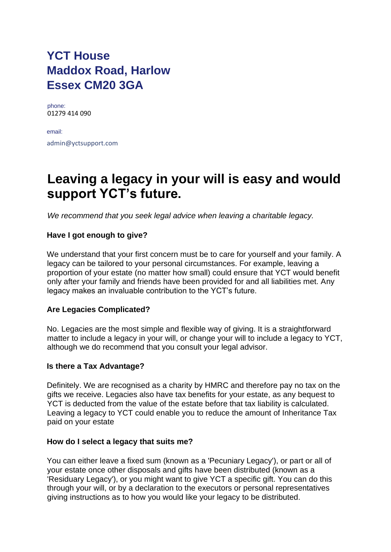## **YCT House Maddox Road, Harlow Essex CM20 3GA**

phone: 01279 414 090

email: admin@yctsupport.com

# **Leaving a legacy in your will is easy and would support YCT's future.**

*We recommend that you seek legal advice when leaving a charitable legacy.* 

## **Have I got enough to give?**

We understand that your first concern must be to care for yourself and your family. A legacy can be tailored to your personal circumstances. For example, leaving a proportion of your estate (no matter how small) could ensure that YCT would benefit only after your family and friends have been provided for and all liabilities met. Any legacy makes an invaluable contribution to the YCT's future.

## **Are Legacies Complicated?**

No. Legacies are the most simple and flexible way of giving. It is a straightforward matter to include a legacy in your will, or change your will to include a legacy to YCT, although we do recommend that you consult your legal advisor.

## **Is there a Tax Advantage?**

Definitely. We are recognised as a charity by HMRC and therefore pay no tax on the gifts we receive. Legacies also have tax benefits for your estate, as any bequest to YCT is deducted from the value of the estate before that tax liability is calculated. Leaving a legacy to YCT could enable you to reduce the amount of Inheritance Tax paid on your estate

#### **How do I select a legacy that suits me?**

You can either leave a fixed sum (known as a 'Pecuniary Legacy'), or part or all of your estate once other disposals and gifts have been distributed (known as a 'Residuary Legacy'), or you might want to give YCT a specific gift. You can do this through your will, or by a declaration to the executors or personal representatives giving instructions as to how you would like your legacy to be distributed.